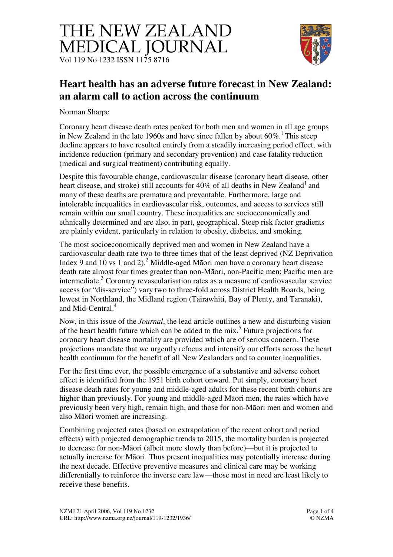



## **Heart health has an adverse future forecast in New Zealand: an alarm call to action across the continuum**

Norman Sharpe

Coronary heart disease death rates peaked for both men and women in all age groups in New Zealand in the late 1960s and have since fallen by about  $60\%$ .<sup>1</sup> This steep decline appears to have resulted entirely from a steadily increasing period effect, with incidence reduction (primary and secondary prevention) and case fatality reduction (medical and surgical treatment) contributing equally.

Despite this favourable change, cardiovascular disease (coronary heart disease, other heart disease, and stroke) still accounts for 40% of all deaths in New Zealand<sup>1</sup> and many of these deaths are premature and preventable. Furthermore, large and intolerable inequalities in cardiovascular risk, outcomes, and access to services still remain within our small country. These inequalities are socioeconomically and ethnically determined and are also, in part, geographical. Steep risk factor gradients are plainly evident, particularly in relation to obesity, diabetes, and smoking.

The most socioeconomically deprived men and women in New Zealand have a cardiovascular death rate two to three times that of the least deprived (NZ Deprivation Index 9 and 10 vs 1 and 2).<sup>2</sup> Middle-aged Māori men have a coronary heart disease death rate almost four times greater than non-Māori, non-Pacific men; Pacific men are intermediate.<sup>3</sup> Coronary revascularisation rates as a measure of cardiovascular service access (or "dis-service") vary two to three-fold across District Health Boards, being lowest in Northland, the Midland region (Tairawhiti, Bay of Plenty, and Taranaki), and Mid-Central.<sup>4</sup>

Now, in this issue of the *Journal*, the lead article outlines a new and disturbing vision of the heart health future which can be added to the mix.<sup>5</sup> Future projections for coronary heart disease mortality are provided which are of serious concern. These projections mandate that we urgently refocus and intensify our efforts across the heart health continuum for the benefit of all New Zealanders and to counter inequalities.

For the first time ever, the possible emergence of a substantive and adverse cohort effect is identified from the 1951 birth cohort onward. Put simply, coronary heart disease death rates for young and middle-aged adults for these recent birth cohorts are higher than previously. For young and middle-aged Māori men, the rates which have previously been very high, remain high, and those for non-Māori men and women and also Māori women are increasing.

Combining projected rates (based on extrapolation of the recent cohort and period effects) with projected demographic trends to 2015, the mortality burden is projected to decrease for non-Māori (albeit more slowly than before)—but it is projected to actually increase for Māori. Thus present inequalities may potentially increase during the next decade. Effective preventive measures and clinical care may be working differentially to reinforce the inverse care law—those most in need are least likely to receive these benefits.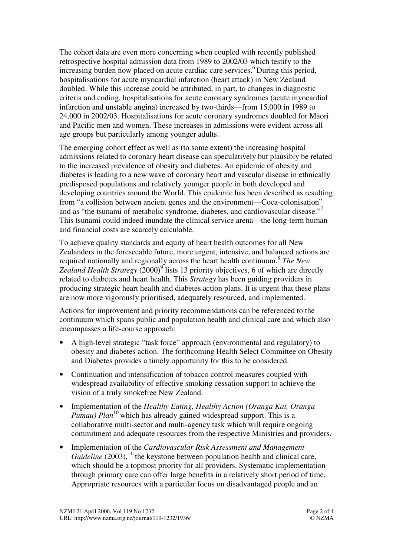The cohort data are even more concerning when coupled with recently published retrospective hospital admission data from 1989 to 2002/03 which testify to the increasing burden now placed on acute cardiac care services.<sup>6</sup> During this period, hospitalisations for acute myocardial infarction (heart attack) in New Zealand doubled. While this increase could be attributed, in part, to changes in diagnostic criteria and coding, hospitalisations for acute coronary syndromes (acute myocardial infarction and unstable angina) increased by two-thirds—from 15,000 in 1989 to 24,000 in 2002/03. Hospitalisations for acute coronary syndromes doubled for Māori and Pacific men and women. These increases in admissions were evident across all age groups but particularly among younger adults.

The emerging cohort effect as well as (to some extent) the increasing hospital admissions related to coronary heart disease can speculatively but plausibly be related to the increased prevalence of obesity and diabetes. An epidemic of obesity and diabetes is leading to a new wave of coronary heart and vascular disease in ethnically predisposed populations and relatively younger people in both developed and developing countries around the World. This epidemic has been described as resulting from "a collision between ancient genes and the environment—Coca-colonisation" and as "the tsunami of metabolic syndrome, diabetes, and cardiovascular disease."<sup>7</sup> This tsunami could indeed inundate the clinical service arena—the long-term human and financial costs are scarcely calculable.

To achieve quality standards and equity of heart health outcomes for all New Zealanders in the foreseeable future, more urgent, intensive, and balanced actions are required nationally and regionally across the heart health continuum.<sup>8</sup> *The New* Zealand Health Strategy (2000)<sup>9</sup> lists 13 priority objectives, 6 of which are directly related to diabetes and heart health. This *Strategy* has been guiding providers in producing strategic heart health and diabetes action plans. It is urgent that these plans are now more vigorously prioritised, adequately resourced, and implemented.

Actions for improvement and priority recommendations can be referenced to the continuum which spans public and population health and clinical care and which also encompasses a life-course approach:

- A high-level strategic "task force" approach (environmental and regulatory) to obesity and diabetes action. The forthcoming Health Select Committee on Obesity and Diabetes provides a timely opportunity for this to be considered.
- Continuation and intensification of tobacco control measures coupled with widespread availability of effective smoking cessation support to achieve the vision of a truly smokefree New Zealand.
- Implementation of the *Healthy Eating, Healthy Action (Oranga Kai, Oranga Pumau) Plan*<sup>10</sup> which has already gained widespread support. This is a collaborative multi-sector and multi-agency task which will require ongoing commitment and adequate resources from the respective Ministries and providers.
- Implementation of the *Cardiovascular Risk Assessment and Management*  $Guideline$  (2003),<sup>11</sup> the keystone between population health and clinical care, which should be a topmost priority for all providers. Systematic implementation through primary care can offer large benefits in a relatively short period of time. Appropriate resources with a particular focus on disadvantaged people and an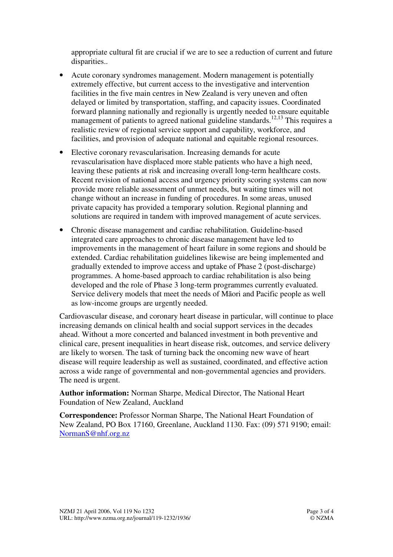appropriate cultural fit are crucial if we are to see a reduction of current and future disparities..

- Acute coronary syndromes management. Modern management is potentially extremely effective, but current access to the investigative and intervention facilities in the five main centres in New Zealand is very uneven and often delayed or limited by transportation, staffing, and capacity issues. Coordinated forward planning nationally and regionally is urgently needed to ensure equitable management of patients to agreed national guideline standards.<sup>12,13</sup> This requires a realistic review of regional service support and capability, workforce, and facilities, and provision of adequate national and equitable regional resources.
- Elective coronary revascularisation. Increasing demands for acute revascularisation have displaced more stable patients who have a high need, leaving these patients at risk and increasing overall long-term healthcare costs. Recent revision of national access and urgency priority scoring systems can now provide more reliable assessment of unmet needs, but waiting times will not change without an increase in funding of procedures. In some areas, unused private capacity has provided a temporary solution. Regional planning and solutions are required in tandem with improved management of acute services.
- Chronic disease management and cardiac rehabilitation. Guideline-based integrated care approaches to chronic disease management have led to improvements in the management of heart failure in some regions and should be extended. Cardiac rehabilitation guidelines likewise are being implemented and gradually extended to improve access and uptake of Phase 2 (post-discharge) programmes. A home-based approach to cardiac rehabilitation is also being developed and the role of Phase 3 long-term programmes currently evaluated. Service delivery models that meet the needs of Māori and Pacific people as well as low-income groups are urgently needed.

Cardiovascular disease, and coronary heart disease in particular, will continue to place increasing demands on clinical health and social support services in the decades ahead. Without a more concerted and balanced investment in both preventive and clinical care, present inequalities in heart disease risk, outcomes, and service delivery are likely to worsen. The task of turning back the oncoming new wave of heart disease will require leadership as well as sustained, coordinated, and effective action across a wide range of governmental and non-governmental agencies and providers. The need is urgent.

**Author information:** Norman Sharpe, Medical Director, The National Heart Foundation of New Zealand, Auckland

**Correspondence:** Professor Norman Sharpe, The National Heart Foundation of New Zealand, PO Box 17160, Greenlane, Auckland 1130. Fax: (09) 571 9190; email: NormanS@nhf.org.nz